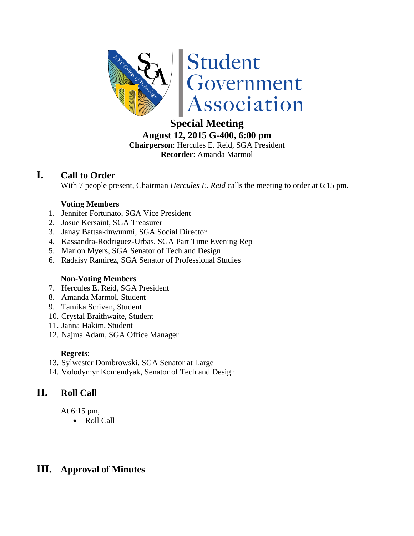

# **Special Meeting**

**August 12, 2015 G-400, 6:00 pm Chairperson**: Hercules E. Reid, SGA President **Recorder**: Amanda Marmol

# **I. Call to Order**

With 7 people present, Chairman *Hercules E. Reid* calls the meeting to order at 6:15 pm.

# **Voting Members**

- 1. Jennifer Fortunato, SGA Vice President
- 2. Josue Kersaint, SGA Treasurer
- 3. Janay Battsakinwunmi, SGA Social Director
- 4. Kassandra-Rodriguez-Urbas, SGA Part Time Evening Rep
- 5. Marlon Myers, SGA Senator of Tech and Design
- 6. Radaisy Ramirez, SGA Senator of Professional Studies

# **Non-Voting Members**

- 7. Hercules E. Reid, SGA President
- 8. Amanda Marmol, Student
- 9. Tamika Scriven, Student
- 10. Crystal Braithwaite, Student
- 11. Janna Hakim, Student
- 12. Najma Adam, SGA Office Manager

# **Regrets**:

- 13. Sylwester Dombrowski. SGA Senator at Large
- 14. Volodymyr Komendyak, Senator of Tech and Design

# **II. Roll Call**

At 6:15 pm,

Roll Call

# **III. Approval of Minutes**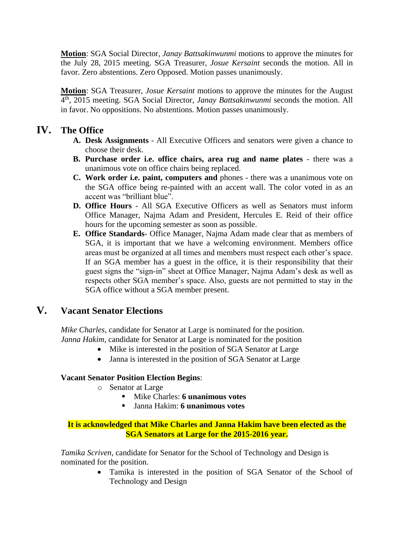**Motion**: SGA Social Director, *Janay Battsakinwunmi* motions to approve the minutes for the July 28, 2015 meeting. SGA Treasurer, *Josue Kersaint* seconds the motion. All in favor. Zero abstentions. Zero Opposed. Motion passes unanimously.

**Motion**: SGA Treasurer, *Josue Kersaint* motions to approve the minutes for the August 4 th, 2015 meeting. SGA Social Director, *Janay Battsakinwunmi* seconds the motion. All in favor. No oppositions. No abstentions. Motion passes unanimously.

# **IV. The Office**

- **A. Desk Assignments** All Executive Officers and senators were given a chance to choose their desk.
- **B. Purchase order i.e. office chairs, area rug and name plates**  there was a unanimous vote on office chairs being replaced.
- **C. Work order i.e. paint, computers and** phones there was a unanimous vote on the SGA office being re-painted with an accent wall. The color voted in as an accent was "brilliant blue".
- **D. Office Hours** All SGA Executive Officers as well as Senators must inform Office Manager, Najma Adam and President, Hercules E. Reid of their office hours for the upcoming semester as soon as possible.
- **E. Office Standards** Office Manager, Najma Adam made clear that as members of SGA, it is important that we have a welcoming environment. Members office areas must be organized at all times and members must respect each other's space. If an SGA member has a guest in the office, it is their responsibility that their guest signs the "sign-in" sheet at Office Manager, Najma Adam's desk as well as respects other SGA member's space. Also, guests are not permitted to stay in the SGA office without a SGA member present.

# **V. Vacant Senator Elections**

*Mike Charles*, candidate for Senator at Large is nominated for the position. *Janna Hakim*, candidate for Senator at Large is nominated for the position

- Mike is interested in the position of SGA Senator at Large
- Janna is interested in the position of SGA Senator at Large

### **Vacant Senator Position Election Begins**:

- o Senator at Large
	- Mike Charles: **6 unanimous votes**
	- Janna Hakim: **6 unanimous votes**

### **It is acknowledged that Mike Charles and Janna Hakim have been elected as the SGA Senators at Large for the 2015-2016 year.**

*Tamika Scriven*, candidate for Senator for the School of Technology and Design is nominated for the position.

> Tamika is interested in the position of SGA Senator of the School of Technology and Design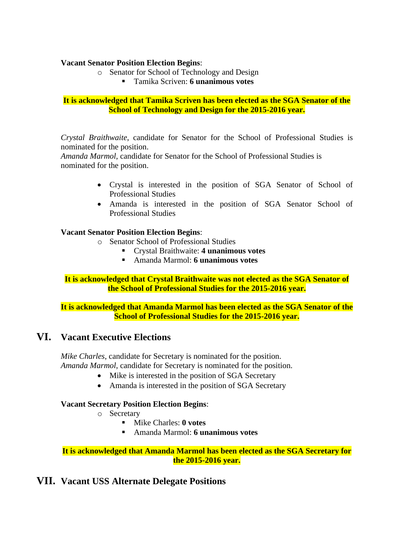#### **Vacant Senator Position Election Begins**:

- o Senator for School of Technology and Design
	- Tamika Scriven: **6 unanimous votes**

#### **It is acknowledged that Tamika Scriven has been elected as the SGA Senator of the School of Technology and Design for the 2015-2016 year.**

*Crystal Braithwaite*, candidate for Senator for the School of Professional Studies is nominated for the position.

*Amanda Marmol*, candidate for Senator for the School of Professional Studies is nominated for the position.

- Crystal is interested in the position of SGA Senator of School of Professional Studies
- Amanda is interested in the position of SGA Senator School of Professional Studies

### **Vacant Senator Position Election Begins**:

- o Senator School of Professional Studies
	- Crystal Braithwaite: **4 unanimous votes**
	- Amanda Marmol: **6 unanimous votes**

**It is acknowledged that Crystal Braithwaite was not elected as the SGA Senator of the School of Professional Studies for the 2015-2016 year.**

**It is acknowledged that Amanda Marmol has been elected as the SGA Senator of the School of Professional Studies for the 2015-2016 year.**

# **VI. Vacant Executive Elections**

*Mike Charles*, candidate for Secretary is nominated for the position. *Amanda Marmol*, candidate for Secretary is nominated for the position.

- Mike is interested in the position of SGA Secretary
- Amanda is interested in the position of SGA Secretary

### **Vacant Secretary Position Election Begins**:

- o Secretary
	- Mike Charles: **0 votes**
	- Amanda Marmol: **6 unanimous votes**

#### **It is acknowledged that Amanda Marmol has been elected as the SGA Secretary for the 2015-2016 year.**

# **VII. Vacant USS Alternate Delegate Positions**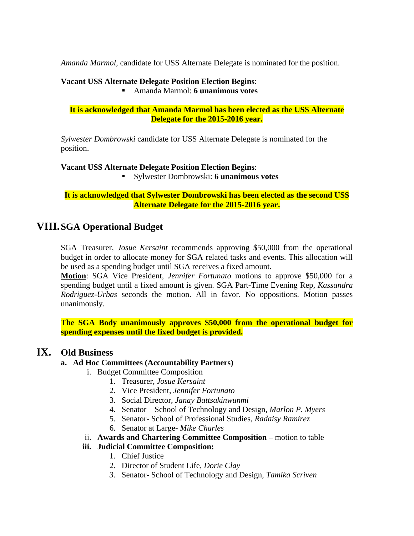*Amanda Marmol*, candidate for USS Alternate Delegate is nominated for the position.

#### **Vacant USS Alternate Delegate Position Election Begins**:

Amanda Marmol: **6 unanimous votes**

**It is acknowledged that Amanda Marmol has been elected as the USS Alternate Delegate for the 2015-2016 year.**

*Sylwester Dombrowski* candidate for USS Alternate Delegate is nominated for the position.

**Vacant USS Alternate Delegate Position Election Begins**:

Sylwester Dombrowski: **6 unanimous votes**

**It is acknowledged that Sylwester Dombrowski has been elected as the second USS Alternate Delegate for the 2015-2016 year.**

# **VIII.SGA Operational Budget**

SGA Treasurer, *Josue Kersaint* recommends approving \$50,000 from the operational budget in order to allocate money for SGA related tasks and events. This allocation will be used as a spending budget until SGA receives a fixed amount.

**Motion**: SGA Vice President, *Jennifer Fortunato* motions to approve \$50,000 for a spending budget until a fixed amount is given. SGA Part-Time Evening Rep, *Kassandra Rodriguez-Urbas* seconds the motion. All in favor. No oppositions. Motion passes unanimously.

**The SGA Body unanimously approves \$50,000 from the operational budget for spending expenses until the fixed budget is provided.**

# **IX. Old Business**

### **a. Ad Hoc Committees (Accountability Partners)**

- i. Budget Committee Composition
	- 1. Treasurer, *Josue Kersaint*
	- 2. Vice President, *Jennifer Fortunato*
	- 3. Social Director, *Janay Battsakinwunmi*
	- 4. Senator School of Technology and Design, *Marlon P. Myers*
	- 5. Senator- School of Professional Studies, *Radaisy Ramirez*
	- 6. Senator at Large- *Mike Charles*
- ii. **Awards and Chartering Committee Composition –** motion to table

### **iii. Judicial Committee Composition:**

- 1. Chief Justice
- 2. Director of Student Life, *Dorie Clay*
- *3.* Senator- School of Technology and Design, *Tamika Scriven*